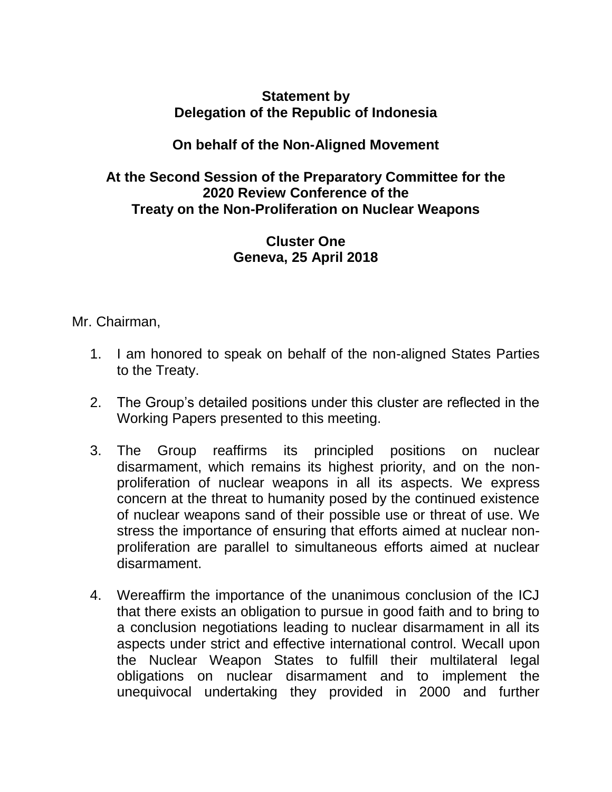## **Statement by Delegation of the Republic of Indonesia**

## **On behalf of the Non-Aligned Movement**

## **At the Second Session of the Preparatory Committee for the 2020 Review Conference of the Treaty on the Non-Proliferation on Nuclear Weapons**

## **Cluster One Geneva, 25 April 2018**

Mr. Chairman,

- 1. I am honored to speak on behalf of the non-aligned States Parties to the Treaty.
- 2. The Group's detailed positions under this cluster are reflected in the Working Papers presented to this meeting.
- 3. The Group reaffirms its principled positions on nuclear disarmament, which remains its highest priority, and on the nonproliferation of nuclear weapons in all its aspects. We express concern at the threat to humanity posed by the continued existence of nuclear weapons sand of their possible use or threat of use. We stress the importance of ensuring that efforts aimed at nuclear nonproliferation are parallel to simultaneous efforts aimed at nuclear disarmament.
- 4. Wereaffirm the importance of the unanimous conclusion of the ICJ that there exists an obligation to pursue in good faith and to bring to a conclusion negotiations leading to nuclear disarmament in all its aspects under strict and effective international control. Wecall upon the Nuclear Weapon States to fulfill their multilateral legal obligations on nuclear disarmament and to implement the unequivocal undertaking they provided in 2000 and further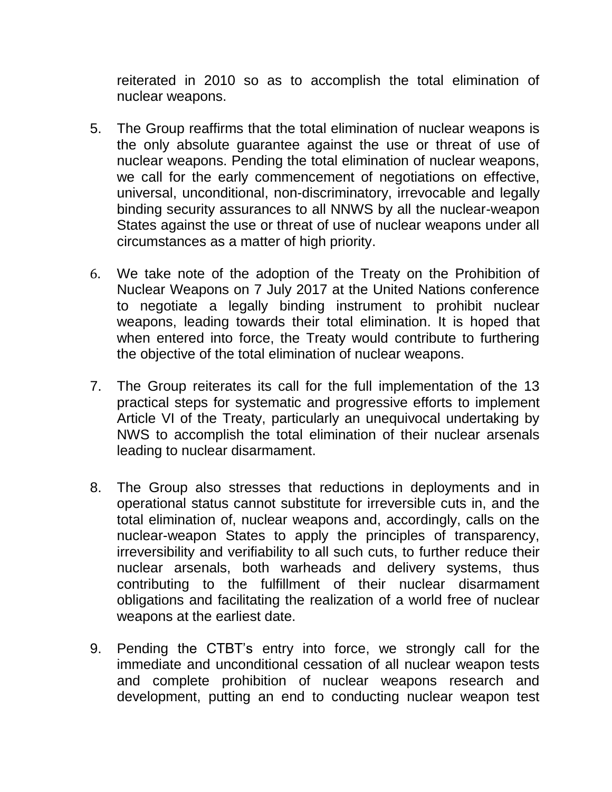reiterated in 2010 so as to accomplish the total elimination of nuclear weapons.

- 5. The Group reaffirms that the total elimination of nuclear weapons is the only absolute guarantee against the use or threat of use of nuclear weapons. Pending the total elimination of nuclear weapons, we call for the early commencement of negotiations on effective, universal, unconditional, non-discriminatory, irrevocable and legally binding security assurances to all NNWS by all the nuclear-weapon States against the use or threat of use of nuclear weapons under all circumstances as a matter of high priority.
- 6. We take note of the adoption of the Treaty on the Prohibition of Nuclear Weapons on 7 July 2017 at the United Nations conference to negotiate a legally binding instrument to prohibit nuclear weapons, leading towards their total elimination. It is hoped that when entered into force, the Treaty would contribute to furthering the objective of the total elimination of nuclear weapons.
- 7. The Group reiterates its call for the full implementation of the 13 practical steps for systematic and progressive efforts to implement Article VI of the Treaty, particularly an unequivocal undertaking by NWS to accomplish the total elimination of their nuclear arsenals leading to nuclear disarmament.
- 8. The Group also stresses that reductions in deployments and in operational status cannot substitute for irreversible cuts in, and the total elimination of, nuclear weapons and, accordingly, calls on the nuclear-weapon States to apply the principles of transparency, irreversibility and verifiability to all such cuts, to further reduce their nuclear arsenals, both warheads and delivery systems, thus contributing to the fulfillment of their nuclear disarmament obligations and facilitating the realization of a world free of nuclear weapons at the earliest date.
- 9. Pending the CTBT's entry into force, we strongly call for the immediate and unconditional cessation of all nuclear weapon tests and complete prohibition of nuclear weapons research and development, putting an end to conducting nuclear weapon test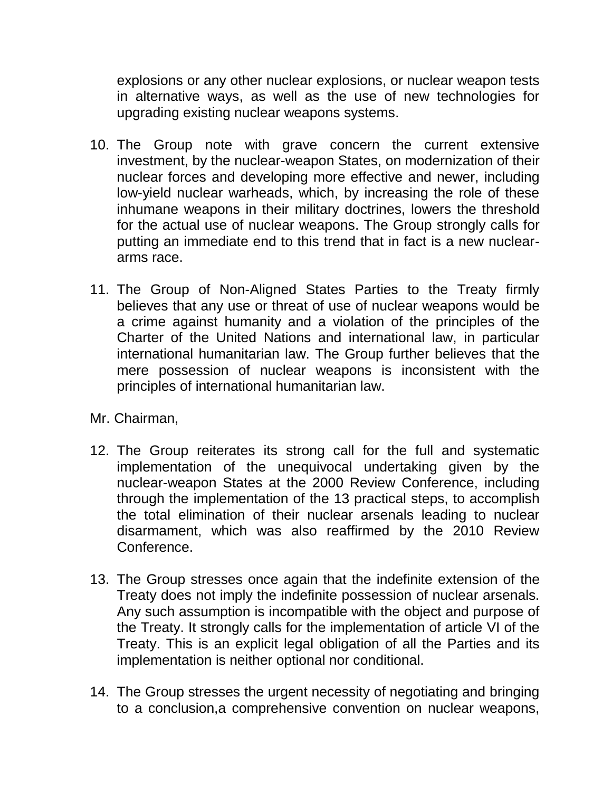explosions or any other nuclear explosions, or nuclear weapon tests in alternative ways, as well as the use of new technologies for upgrading existing nuclear weapons systems.

- 10. The Group note with grave concern the current extensive investment, by the nuclear-weapon States, on modernization of their nuclear forces and developing more effective and newer, including low-yield nuclear warheads, which, by increasing the role of these inhumane weapons in their military doctrines, lowers the threshold for the actual use of nuclear weapons. The Group strongly calls for putting an immediate end to this trend that in fact is a new nucleararms race.
- 11. The Group of Non-Aligned States Parties to the Treaty firmly believes that any use or threat of use of nuclear weapons would be a crime against humanity and a violation of the principles of the Charter of the United Nations and international law, in particular international humanitarian law. The Group further believes that the mere possession of nuclear weapons is inconsistent with the principles of international humanitarian law.
- Mr. Chairman,
- 12. The Group reiterates its strong call for the full and systematic implementation of the unequivocal undertaking given by the nuclear-weapon States at the 2000 Review Conference, including through the implementation of the 13 practical steps, to accomplish the total elimination of their nuclear arsenals leading to nuclear disarmament, which was also reaffirmed by the 2010 Review Conference.
- 13. The Group stresses once again that the indefinite extension of the Treaty does not imply the indefinite possession of nuclear arsenals. Any such assumption is incompatible with the object and purpose of the Treaty. It strongly calls for the implementation of article VI of the Treaty. This is an explicit legal obligation of all the Parties and its implementation is neither optional nor conditional.
- 14. The Group stresses the urgent necessity of negotiating and bringing to a conclusion,a comprehensive convention on nuclear weapons,